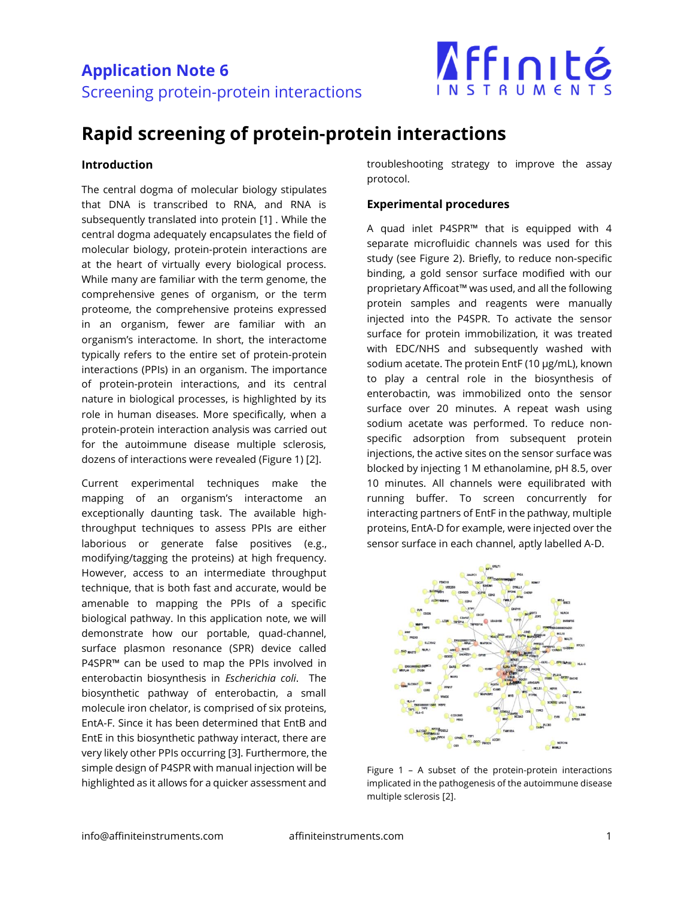

## **Rapid screening of protein-protein interactions**

#### **Introduction**

The central dogma of molecular biology stipulates that DNA is transcribed to RNA, and RNA is subsequently translated into protein [1] . While the central dogma adequately encapsulates the field of molecular biology, protein-protein interactions are at the heart of virtually every biological process. While many are familiar with the term genome, the comprehensive genes of organism, or the term proteome, the comprehensive proteins expressed in an organism, fewer are familiar with an organism's interactome. In short, the interactome typically refers to the entire set of protein-protein interactions (PPIs) in an organism. The importance of protein-protein interactions, and its central nature in biological processes, is highlighted by its role in human diseases. More specifically, when a protein-protein interaction analysis was carried out for the autoimmune disease multiple sclerosis, dozens of interactions were revealed (Figure 1) [2].

Current experimental techniques make the mapping of an organism's interactome an exceptionally daunting task. The available highthroughput techniques to assess PPIs are either laborious or generate false positives (e.g., modifying/tagging the proteins) at high frequency. However, access to an intermediate throughput technique, that is both fast and accurate, would be amenable to mapping the PPIs of a specific biological pathway. In this application note, we will demonstrate how our portable, quad-channel, surface plasmon resonance (SPR) device called P4SPR™ can be used to map the PPIs involved in enterobactin biosynthesis in *Escherichia coli*. The biosynthetic pathway of enterobactin, a small molecule iron chelator, is comprised of six proteins, EntA-F. Since it has been determined that EntB and EntE in this biosynthetic pathway interact, there are very likely other PPIs occurring [3]. Furthermore, the simple design of P4SPR with manual injection will be highlighted as it allows for a quicker assessment and

troubleshooting strategy to improve the assay protocol.

#### **Experimental procedures**

A quad inlet P4SPR™ that is equipped with 4 separate microfluidic channels was used for this study (see Figure 2). Briefly, to reduce non-specific binding, a gold sensor surface modified with our proprietary Afficoat™ was used, and all the following protein samples and reagents were manually injected into the P4SPR. To activate the sensor surface for protein immobilization, it was treated with EDC/NHS and subsequently washed with sodium acetate. The protein EntF (10 µg/mL), known to play a central role in the biosynthesis of enterobactin, was immobilized onto the sensor surface over 20 minutes. A repeat wash using sodium acetate was performed. To reduce nonspecific adsorption from subsequent protein injections, the active sites on the sensor surface was blocked by injecting 1 M ethanolamine, pH 8.5, over 10 minutes. All channels were equilibrated with running buffer. To screen concurrently for interacting partners of EntF in the pathway, multiple proteins, EntA-D for example, were injected over the sensor surface in each channel, aptly labelled A-D.



Figure 1 – A subset of the protein-protein interactions implicated in the pathogenesis of the autoimmune disease multiple sclerosis [2].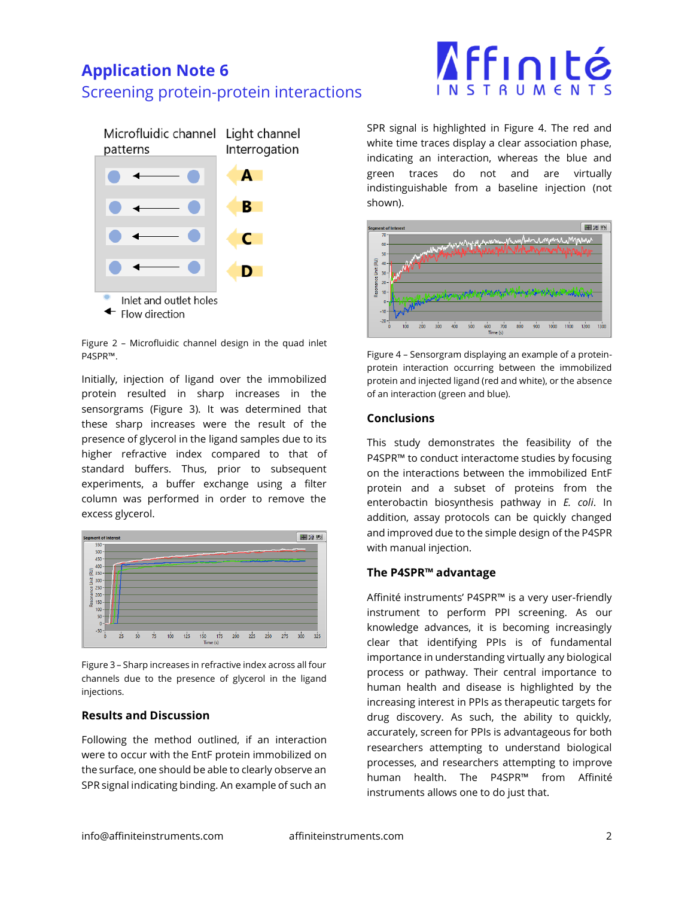### **Application Note 6** Screening protein-protein interactions



Figure 2 – Microfluidic channel design in the quad inlet P4SPR™.

Initially, injection of ligand over the immobilized protein resulted in sharp increases in the sensorgrams (Figure 3). It was determined that these sharp increases were the result of the presence of glycerol in the ligand samples due to its higher refractive index compared to that of standard buffers. Thus, prior to subsequent experiments, a buffer exchange using a filter column was performed in order to remove the excess glycerol.



Figure 3 – Sharp increases in refractive index across all four channels due to the presence of glycerol in the ligand injections.

#### **Results and Discussion**

Following the method outlined, if an interaction were to occur with the EntF protein immobilized on the surface, one should be able to clearly observe an SPR signal indicating binding. An example of such an

# Affinité

SPR signal is highlighted in Figure 4. The red and white time traces display a clear association phase, indicating an interaction, whereas the blue and green traces do not and are virtually indistinguishable from a baseline injection (not shown).



Figure 4 – Sensorgram displaying an example of a proteinprotein interaction occurring between the immobilized protein and injected ligand (red and white), or the absence of an interaction (green and blue).

#### **Conclusions**

This study demonstrates the feasibility of the P4SPR™ to conduct interactome studies by focusing on the interactions between the immobilized EntF protein and a subset of proteins from the enterobactin biosynthesis pathway in *E. coli*. In addition, assay protocols can be quickly changed and improved due to the simple design of the P4SPR with manual injection.

#### **The P4SPR™ advantage**

Affinité instruments' P4SPR™ is a very user-friendly instrument to perform PPI screening. As our knowledge advances, it is becoming increasingly clear that identifying PPIs is of fundamental importance in understanding virtually any biological process or pathway. Their central importance to human health and disease is highlighted by the increasing interest in PPIs as therapeutic targets for drug discovery. As such, the ability to quickly, accurately, screen for PPIs is advantageous for both researchers attempting to understand biological processes, and researchers attempting to improve human health. The P4SPR™ from Affinité instruments allows one to do just that.